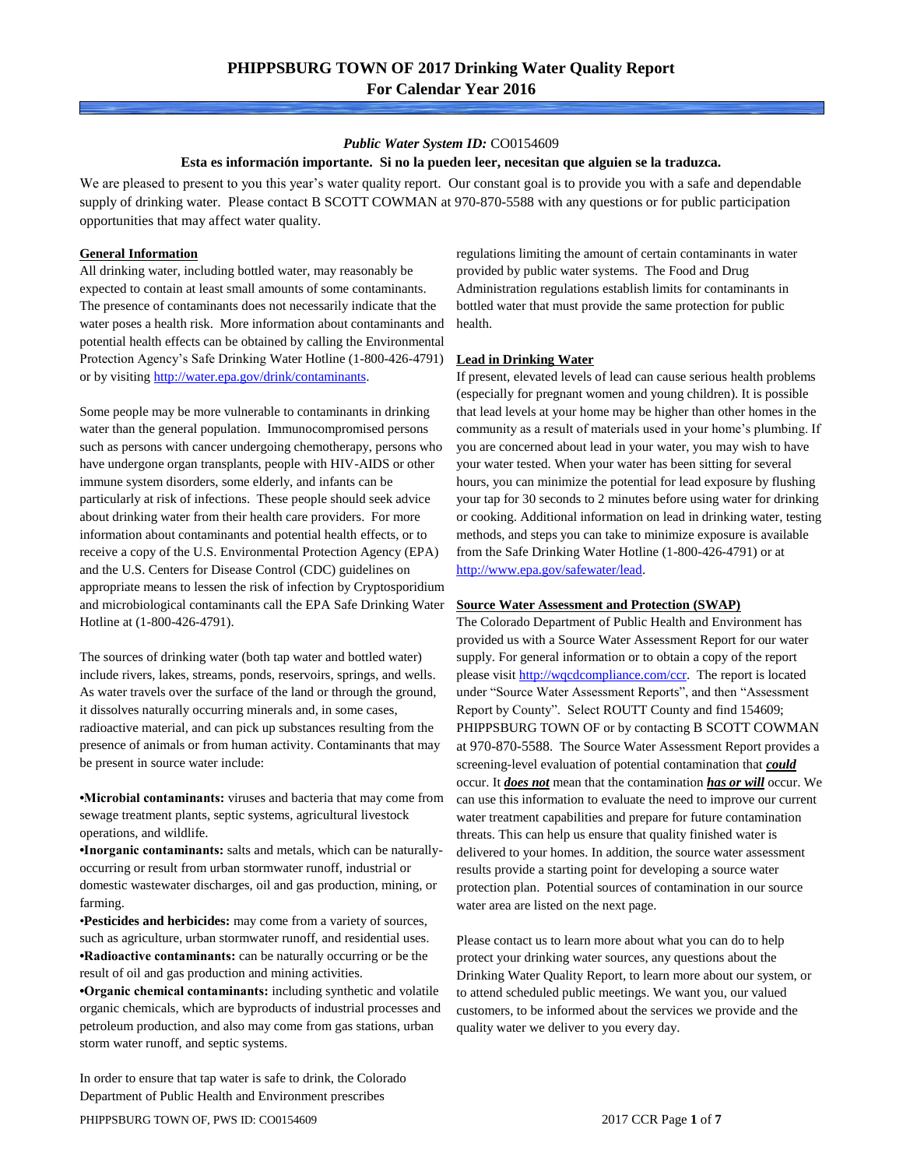### *Public Water System ID:* CO0154609

### **Esta es información importante. Si no la pueden leer, necesitan que alguien se la traduzca.**

We are pleased to present to you this year's water quality report. Our constant goal is to provide you with a safe and dependable supply of drinking water. Please contact B SCOTT COWMAN at 970-870-5588 with any questions or for public participation opportunities that may affect water quality.

### **General Information**

All drinking water, including bottled water, may reasonably be expected to contain at least small amounts of some contaminants. The presence of contaminants does not necessarily indicate that the water poses a health risk. More information about contaminants and potential health effects can be obtained by calling the Environmental Protection Agency's Safe Drinking Water Hotline (1-800-426-4791) or by visiting [http://water.epa.gov/drink/contaminants.](http://water.epa.gov/drink/contaminants)

Some people may be more vulnerable to contaminants in drinking water than the general population. Immunocompromised persons such as persons with cancer undergoing chemotherapy, persons who have undergone organ transplants, people with HIV-AIDS or other immune system disorders, some elderly, and infants can be particularly at risk of infections. These people should seek advice about drinking water from their health care providers. For more information about contaminants and potential health effects, or to receive a copy of the U.S. Environmental Protection Agency (EPA) and the U.S. Centers for Disease Control (CDC) guidelines on appropriate means to lessen the risk of infection by Cryptosporidium and microbiological contaminants call the EPA Safe Drinking Water Hotline at (1-800-426-4791).

The sources of drinking water (both tap water and bottled water) include rivers, lakes, streams, ponds, reservoirs, springs, and wells. As water travels over the surface of the land or through the ground, it dissolves naturally occurring minerals and, in some cases, radioactive material, and can pick up substances resulting from the presence of animals or from human activity. Contaminants that may be present in source water include:

**•Microbial contaminants:** viruses and bacteria that may come from sewage treatment plants, septic systems, agricultural livestock operations, and wildlife.

**•Inorganic contaminants:** salts and metals, which can be naturallyoccurring or result from urban stormwater runoff, industrial or domestic wastewater discharges, oil and gas production, mining, or farming.

•**Pesticides and herbicides:** may come from a variety of sources, such as agriculture, urban stormwater runoff, and residential uses. **•Radioactive contaminants:** can be naturally occurring or be the result of oil and gas production and mining activities.

**•Organic chemical contaminants:** including synthetic and volatile organic chemicals, which are byproducts of industrial processes and petroleum production, and also may come from gas stations, urban storm water runoff, and septic systems.

In order to ensure that tap water is safe to drink, the Colorado Department of Public Health and Environment prescribes

regulations limiting the amount of certain contaminants in water provided by public water systems. The Food and Drug Administration regulations establish limits for contaminants in bottled water that must provide the same protection for public health.

### **Lead in Drinking Water**

If present, elevated levels of lead can cause serious health problems (especially for pregnant women and young children). It is possible that lead levels at your home may be higher than other homes in the community as a result of materials used in your home's plumbing. If you are concerned about lead in your water, you may wish to have your water tested. When your water has been sitting for several hours, you can minimize the potential for lead exposure by flushing your tap for 30 seconds to 2 minutes before using water for drinking or cooking. Additional information on lead in drinking water, testing methods, and steps you can take to minimize exposure is available from the Safe Drinking Water Hotline (1-800-426-4791) or at [http://www.epa.gov/safewater/lead.](http://www.epa.gov/safewater/lead) 

#### **Source Water Assessment and Protection (SWAP)**

The Colorado Department of Public Health and Environment has provided us with a Source Water Assessment Report for our water supply. For general information or to obtain a copy of the report please visit [http://wqcdcompliance.com/ccr.](http://wqcdcompliance.com/ccr) The report is located under "Source Water Assessment Reports", and then "Assessment Report by County". Select ROUTT County and find 154609; PHIPPSBURG TOWN OF or by contacting B SCOTT COWMAN at 970-870-5588. The Source Water Assessment Report provides a screening-level evaluation of potential contamination that *could* occur. It *does not* mean that the contamination *has or will* occur. We can use this information to evaluate the need to improve our current water treatment capabilities and prepare for future contamination threats. This can help us ensure that quality finished water is delivered to your homes. In addition, the source water assessment results provide a starting point for developing a source water protection plan. Potential sources of contamination in our source water area are listed on the next page.

Please contact us to learn more about what you can do to help protect your drinking water sources, any questions about the Drinking Water Quality Report, to learn more about our system, or to attend scheduled public meetings. We want you, our valued customers, to be informed about the services we provide and the quality water we deliver to you every day.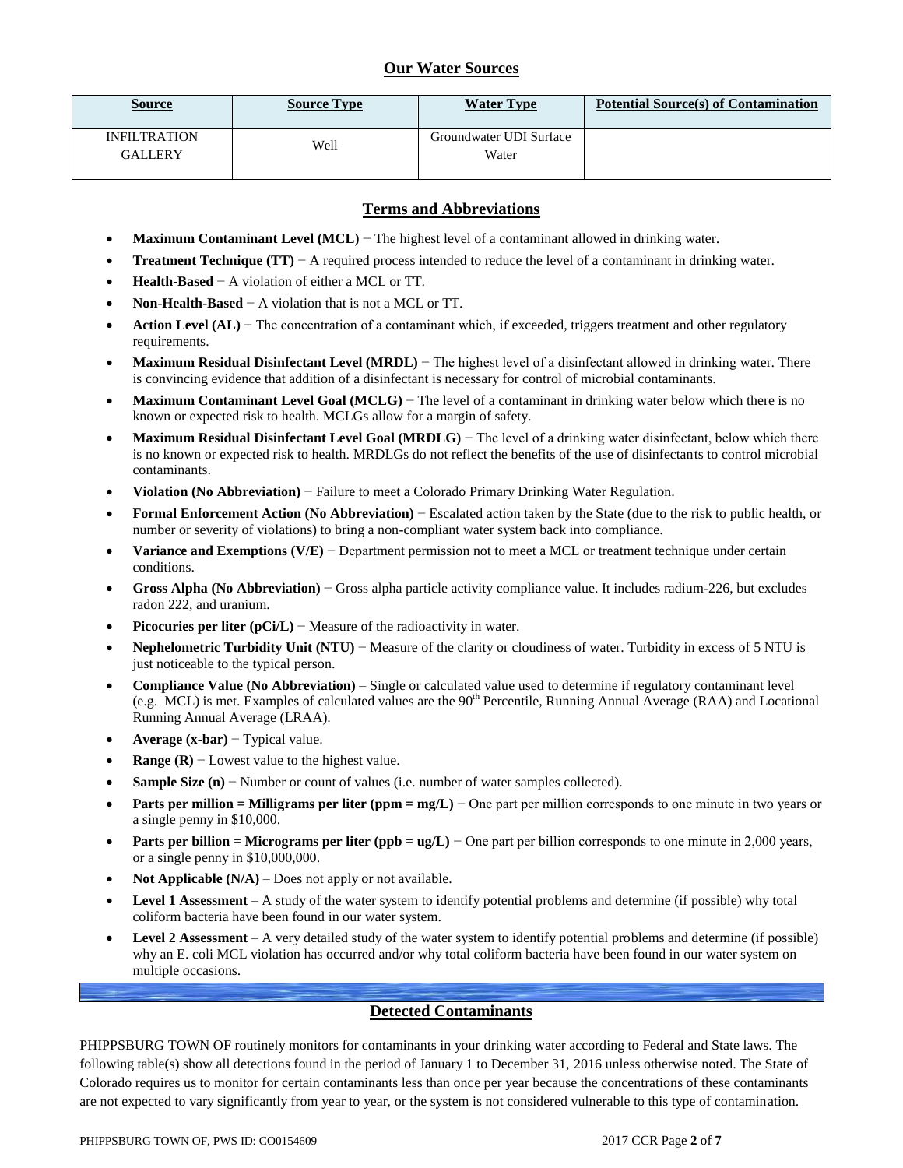## **Our Water Sources**

| <b>Source</b>                         | <b>Source Type</b> | <b>Water Type</b>                | <b>Potential Source(s) of Contamination</b> |
|---------------------------------------|--------------------|----------------------------------|---------------------------------------------|
| <b>INFILTRATION</b><br><b>GALLERY</b> | Well               | Groundwater UDI Surface<br>Water |                                             |

## **Terms and Abbreviations**

- **Maximum Contaminant Level (MCL)** − The highest level of a contaminant allowed in drinking water.
- **Treatment Technique (TT)** − A required process intended to reduce the level of a contaminant in drinking water.
- **Health-Based** − A violation of either a MCL or TT.
- **Non-Health-Based** − A violation that is not a MCL or TT.
- **Action Level (AL)** − The concentration of a contaminant which, if exceeded, triggers treatment and other regulatory requirements.
- **Maximum Residual Disinfectant Level (MRDL)** − The highest level of a disinfectant allowed in drinking water. There is convincing evidence that addition of a disinfectant is necessary for control of microbial contaminants.
- **Maximum Contaminant Level Goal (MCLG)** − The level of a contaminant in drinking water below which there is no known or expected risk to health. MCLGs allow for a margin of safety.
- **Maximum Residual Disinfectant Level Goal (MRDLG)** − The level of a drinking water disinfectant, below which there is no known or expected risk to health. MRDLGs do not reflect the benefits of the use of disinfectants to control microbial contaminants.
- **Violation (No Abbreviation)** − Failure to meet a Colorado Primary Drinking Water Regulation.
- **Formal Enforcement Action (No Abbreviation)** − Escalated action taken by the State (due to the risk to public health, or number or severity of violations) to bring a non-compliant water system back into compliance.
- **Variance and Exemptions (V/E)** − Department permission not to meet a MCL or treatment technique under certain conditions.
- **Gross Alpha (No Abbreviation)** − Gross alpha particle activity compliance value. It includes radium-226, but excludes radon 222, and uranium.
- **Picocuries per liter (pCi/L)** − Measure of the radioactivity in water.
- **Nephelometric Turbidity Unit (NTU)** − Measure of the clarity or cloudiness of water. Turbidity in excess of 5 NTU is just noticeable to the typical person.
- **Compliance Value (No Abbreviation)** Single or calculated value used to determine if regulatory contaminant level (e.g. MCL) is met. Examples of calculated values are the  $90<sup>th</sup>$  Percentile, Running Annual Average (RAA) and Locational Running Annual Average (LRAA).
- **Average (x-bar)** − Typical value.
- **Range (R)**  $-$  Lowest value to the highest value.
- **Sample Size (n)** − Number or count of values (i.e. number of water samples collected).
- **Parts per million = Milligrams per liter (ppm = mg/L)** − One part per million corresponds to one minute in two years or a single penny in \$10,000.
- **Parts per billion = Micrograms per liter (ppb = ug/L)** − One part per billion corresponds to one minute in 2,000 years, or a single penny in \$10,000,000.
- **Not Applicable (N/A)** Does not apply or not available.
- **Level 1 Assessment** A study of the water system to identify potential problems and determine (if possible) why total coliform bacteria have been found in our water system.
- **Level 2 Assessment** A very detailed study of the water system to identify potential problems and determine (if possible) why an E. coli MCL violation has occurred and/or why total coliform bacteria have been found in our water system on multiple occasions.

### **Detected Contaminants**

PHIPPSBURG TOWN OF routinely monitors for contaminants in your drinking water according to Federal and State laws. The following table(s) show all detections found in the period of January 1 to December 31, 2016 unless otherwise noted. The State of Colorado requires us to monitor for certain contaminants less than once per year because the concentrations of these contaminants are not expected to vary significantly from year to year, or the system is not considered vulnerable to this type of contamination.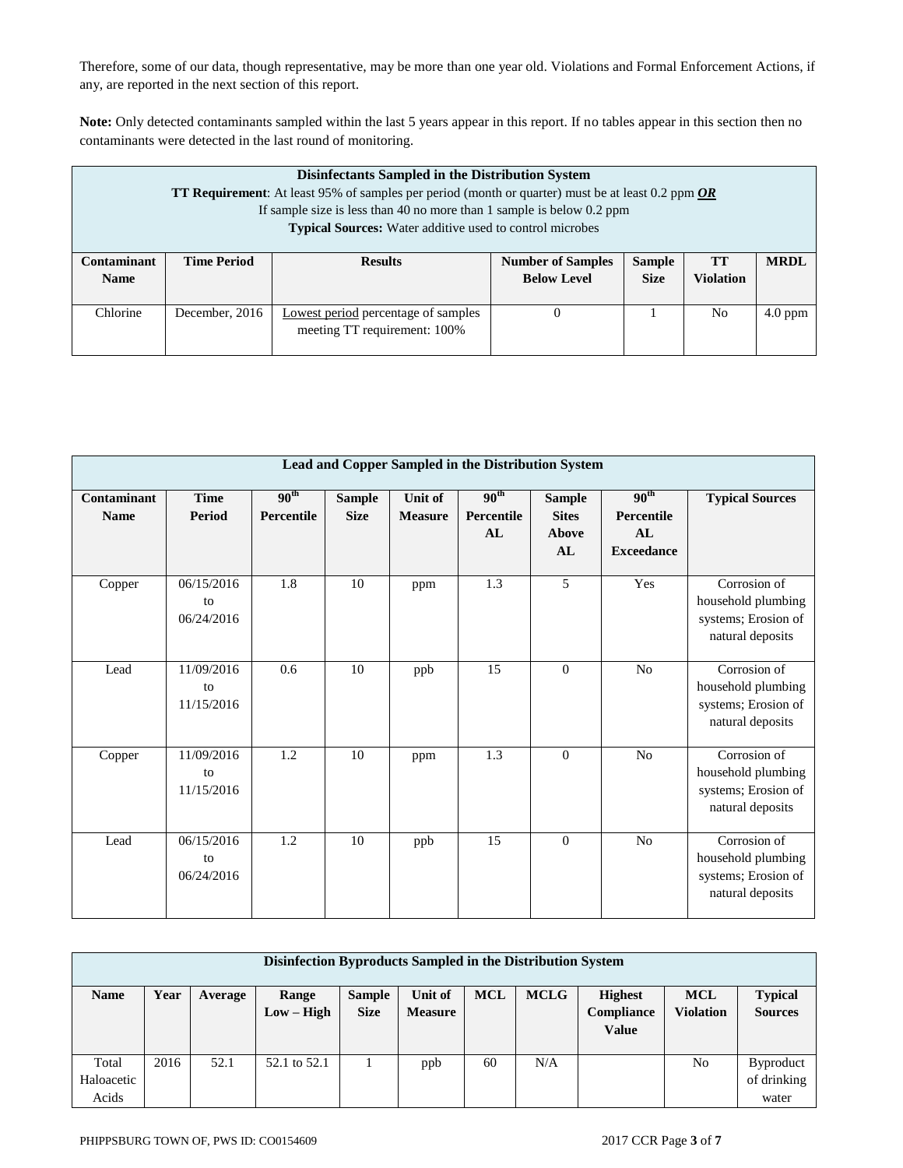Therefore, some of our data, though representative, may be more than one year old. Violations and Formal Enforcement Actions, if any, are reported in the next section of this report.

**Note:** Only detected contaminants sampled within the last 5 years appear in this report. If no tables appear in this section then no contaminants were detected in the last round of monitoring.

|                                   | Disinfectants Sampled in the Distribution System<br><b>TT Requirement:</b> At least 95% of samples per period (month or quarter) must be at least 0.2 ppm $OR$<br>If sample size is less than 40 no more than 1 sample is below 0.2 ppm<br><b>Typical Sources:</b> Water additive used to control microbes |                                                                     |                                                |                              |                        |             |  |  |  |  |
|-----------------------------------|------------------------------------------------------------------------------------------------------------------------------------------------------------------------------------------------------------------------------------------------------------------------------------------------------------|---------------------------------------------------------------------|------------------------------------------------|------------------------------|------------------------|-------------|--|--|--|--|
| <b>Contaminant</b><br><b>Name</b> | <b>Time Period</b>                                                                                                                                                                                                                                                                                         | <b>Results</b>                                                      | <b>Number of Samples</b><br><b>Below Level</b> | <b>Sample</b><br><b>Size</b> | <b>TT</b><br>Violation | <b>MRDL</b> |  |  |  |  |
| Chlorine                          | December, 2016                                                                                                                                                                                                                                                                                             | Lowest period percentage of samples<br>meeting TT requirement: 100% | $\mathbf{0}$                                   |                              | No                     | $4.0$ ppm   |  |  |  |  |

|                            |                                |                                |                              |                                  | Lead and Copper Sampled in the Distribution System |                                              |                                                           |                                                                               |
|----------------------------|--------------------------------|--------------------------------|------------------------------|----------------------------------|----------------------------------------------------|----------------------------------------------|-----------------------------------------------------------|-------------------------------------------------------------------------------|
| Contaminant<br><b>Name</b> | <b>Time</b><br><b>Period</b>   | 90 <sup>th</sup><br>Percentile | <b>Sample</b><br><b>Size</b> | <b>Unit of</b><br><b>Measure</b> | 90 <sup>th</sup><br><b>Percentile</b><br>AL        | <b>Sample</b><br><b>Sites</b><br>Above<br>AL | 90 <sup>th</sup><br>Percentile<br>AI<br><b>Exceedance</b> | <b>Typical Sources</b>                                                        |
| Copper                     | 06/15/2016<br>to<br>06/24/2016 | 1.8                            | 10                           | ppm                              | 1.3                                                | 5                                            | Yes                                                       | Corrosion of<br>household plumbing<br>systems; Erosion of<br>natural deposits |
| Lead                       | 11/09/2016<br>to<br>11/15/2016 | 0.6                            | 10                           | ppb                              | 15                                                 | $\overline{0}$                               | N <sub>o</sub>                                            | Corrosion of<br>household plumbing<br>systems; Erosion of<br>natural deposits |
| Copper                     | 11/09/2016<br>to<br>11/15/2016 | 1.2                            | 10                           | ppm                              | 1.3                                                | $\Omega$                                     | N <sub>o</sub>                                            | Corrosion of<br>household plumbing<br>systems; Erosion of<br>natural deposits |
| Lead                       | 06/15/2016<br>to<br>06/24/2016 | 1.2                            | 10                           | ppb                              | 15                                                 | $\overline{0}$                               | N <sub>o</sub>                                            | Corrosion of<br>household plumbing<br>systems; Erosion of<br>natural deposits |

| Disinfection Byproducts Sampled in the Distribution System |      |         |                       |                              |                           |            |             |                                              |                                |                                          |  |
|------------------------------------------------------------|------|---------|-----------------------|------------------------------|---------------------------|------------|-------------|----------------------------------------------|--------------------------------|------------------------------------------|--|
| <b>Name</b>                                                | Year | Average | Range<br>$Low - High$ | <b>Sample</b><br><b>Size</b> | Unit of<br><b>Measure</b> | <b>MCL</b> | <b>MCLG</b> | <b>Highest</b><br>Compliance<br><b>Value</b> | <b>MCL</b><br><b>Violation</b> | <b>Typical</b><br><b>Sources</b>         |  |
| Total<br>Haloacetic<br>Acids                               | 2016 | 52.1    | 52.1 to 52.1          |                              | ppb                       | 60         | N/A         |                                              | N <sub>0</sub>                 | <b>Byproduct</b><br>of drinking<br>water |  |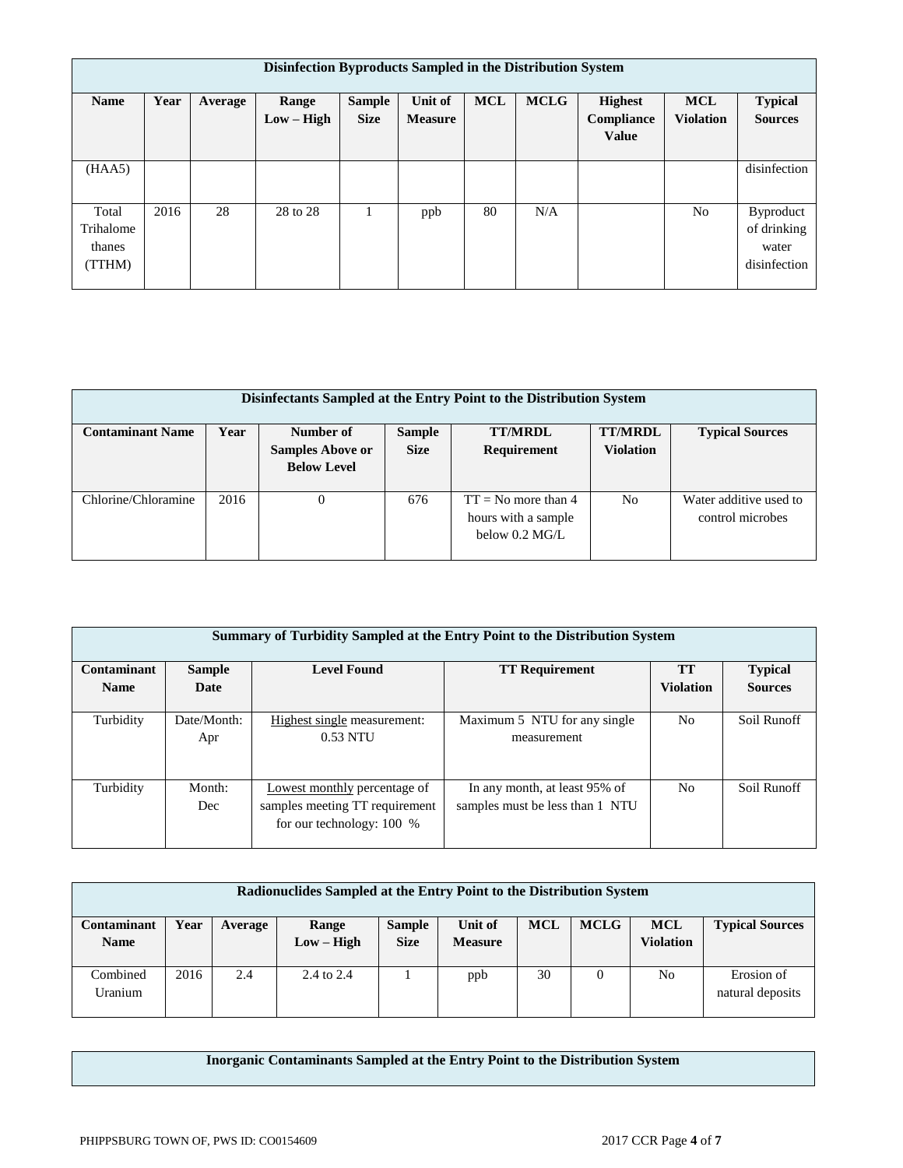| Disinfection Byproducts Sampled in the Distribution System |      |         |                       |                              |                           |            |             |                                              |                                |                                                          |  |
|------------------------------------------------------------|------|---------|-----------------------|------------------------------|---------------------------|------------|-------------|----------------------------------------------|--------------------------------|----------------------------------------------------------|--|
| <b>Name</b>                                                | Year | Average | Range<br>$Low - High$ | <b>Sample</b><br><b>Size</b> | Unit of<br><b>Measure</b> | <b>MCL</b> | <b>MCLG</b> | <b>Highest</b><br>Compliance<br><b>Value</b> | <b>MCL</b><br><b>Violation</b> | <b>Typical</b><br><b>Sources</b>                         |  |
| (HAA5)                                                     |      |         |                       |                              |                           |            |             |                                              |                                | disinfection                                             |  |
| Total<br>Trihalome<br>thanes<br>(TTHM)                     | 2016 | 28      | 28 to 28              |                              | ppb                       | 80         | N/A         |                                              | N <sub>o</sub>                 | <b>Byproduct</b><br>of drinking<br>water<br>disinfection |  |

|                         | Disinfectants Sampled at the Entry Point to the Distribution System |                                                            |                              |                                                                          |                                    |                                            |  |  |  |  |  |  |
|-------------------------|---------------------------------------------------------------------|------------------------------------------------------------|------------------------------|--------------------------------------------------------------------------|------------------------------------|--------------------------------------------|--|--|--|--|--|--|
| <b>Contaminant Name</b> | Year                                                                | Number of<br><b>Samples Above or</b><br><b>Below Level</b> | <b>Sample</b><br><b>Size</b> | <b>TT/MRDL</b><br><b>Requirement</b>                                     | <b>TT/MRDL</b><br><b>Violation</b> | <b>Typical Sources</b>                     |  |  |  |  |  |  |
| Chlorine/Chloramine     | 2016                                                                | 0                                                          | 676                          | $TT = No$ more than 4<br>hours with a sample<br>below $0.2 \text{ MG/L}$ | N <sub>0</sub>                     | Water additive used to<br>control microbes |  |  |  |  |  |  |

|                    | <b>Summary of Turbidity Sampled at the Entry Point to the Distribution System</b> |                                |                                 |                  |                |  |  |  |  |  |  |
|--------------------|-----------------------------------------------------------------------------------|--------------------------------|---------------------------------|------------------|----------------|--|--|--|--|--|--|
| <b>Contaminant</b> | <b>Sample</b>                                                                     | <b>Level Found</b>             | <b>TT Requirement</b>           | <b>TT</b>        | <b>Typical</b> |  |  |  |  |  |  |
| <b>Name</b>        | Date                                                                              |                                |                                 | <b>Violation</b> | <b>Sources</b> |  |  |  |  |  |  |
|                    |                                                                                   |                                |                                 |                  |                |  |  |  |  |  |  |
| Turbidity          | Date/Month:                                                                       | Highest single measurement:    | Maximum 5 NTU for any single    | N <sub>o</sub>   | Soil Runoff    |  |  |  |  |  |  |
|                    | Apr                                                                               | $0.53$ NTU                     | measurement                     |                  |                |  |  |  |  |  |  |
|                    |                                                                                   |                                |                                 |                  |                |  |  |  |  |  |  |
|                    |                                                                                   |                                |                                 |                  |                |  |  |  |  |  |  |
| Turbidity          | Month:                                                                            | Lowest monthly percentage of   | In any month, at least 95% of   | N <sub>o</sub>   | Soil Runoff    |  |  |  |  |  |  |
|                    | Dec                                                                               | samples meeting TT requirement | samples must be less than 1 NTU |                  |                |  |  |  |  |  |  |
|                    |                                                                                   | for our technology: 100 %      |                                 |                  |                |  |  |  |  |  |  |
|                    |                                                                                   |                                |                                 |                  |                |  |  |  |  |  |  |

| Radionuclides Sampled at the Entry Point to the Distribution System |      |         |                       |                              |                           |            |             |                                |                                |  |
|---------------------------------------------------------------------|------|---------|-----------------------|------------------------------|---------------------------|------------|-------------|--------------------------------|--------------------------------|--|
| Contaminant<br><b>Name</b>                                          | Year | Average | Range<br>$Low - High$ | <b>Sample</b><br><b>Size</b> | Unit of<br><b>Measure</b> | <b>MCL</b> | <b>MCLG</b> | <b>MCL</b><br><b>Violation</b> | <b>Typical Sources</b>         |  |
| Combined<br>Uranium                                                 | 2016 | 2.4     | 2.4 to $2.4$          |                              | ppb                       | 30         | 0           | No                             | Erosion of<br>natural deposits |  |

# **Inorganic Contaminants Sampled at the Entry Point to the Distribution System**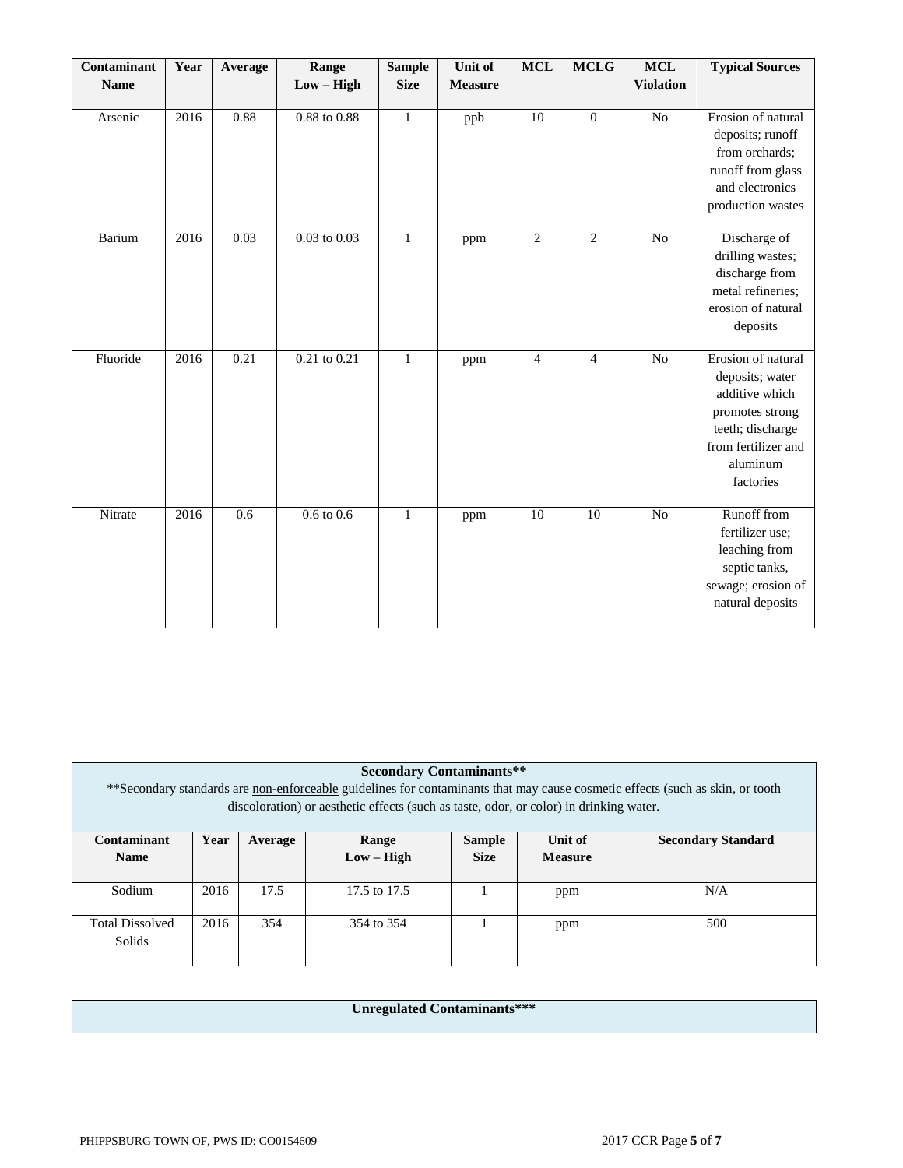| Contaminant | Year | Average | Range            | <b>Sample</b> | Unit of        | $\bf MCL$      | <b>MCLG</b>     | <b>MCL</b>       | <b>Typical Sources</b>                                                                                                                         |
|-------------|------|---------|------------------|---------------|----------------|----------------|-----------------|------------------|------------------------------------------------------------------------------------------------------------------------------------------------|
| <b>Name</b> |      |         | $Low - High$     | <b>Size</b>   | <b>Measure</b> |                |                 | <b>Violation</b> |                                                                                                                                                |
| Arsenic     | 2016 | 0.88    | $0.88$ to $0.88$ | $\mathbf{1}$  | ppb            | 10             | $\mathbf{0}$    | $\overline{No}$  | Erosion of natural<br>deposits; runoff<br>from orchards;<br>runoff from glass<br>and electronics<br>production wastes                          |
| Barium      | 2016 | 0.03    | $0.03$ to $0.03$ | $\mathbf{1}$  | ppm            | $\overline{c}$ | $\overline{2}$  | $\rm No$         | Discharge of<br>drilling wastes;<br>discharge from<br>metal refineries;<br>erosion of natural<br>deposits                                      |
| Fluoride    | 2016 | 0.21    | $0.21$ to $0.21$ | $\mathbf{1}$  | ppm            | $\overline{4}$ | $\overline{4}$  | N <sub>o</sub>   | Erosion of natural<br>deposits; water<br>additive which<br>promotes strong<br>teeth; discharge<br>from fertilizer and<br>aluminum<br>factories |
| Nitrate     | 2016 | 0.6     | $0.6$ to $0.6$   | $\mathbf{1}$  | ppm            | 10             | $\overline{10}$ | N <sub>o</sub>   | Runoff from<br>fertilizer use;<br>leaching from<br>septic tanks,<br>sewage; erosion of<br>natural deposits                                     |

| <b>Secondary Contaminants**</b><br>** Secondary standards are non-enforceable guidelines for contaminants that may cause cosmetic effects (such as skin, or tooth<br>discoloration) or aesthetic effects (such as taste, odor, or color) in drinking water. |      |         |              |               |                |                           |  |  |  |
|-------------------------------------------------------------------------------------------------------------------------------------------------------------------------------------------------------------------------------------------------------------|------|---------|--------------|---------------|----------------|---------------------------|--|--|--|
| Contaminant                                                                                                                                                                                                                                                 | Year | Average | Range        | <b>Sample</b> | Unit of        | <b>Secondary Standard</b> |  |  |  |
| <b>Name</b>                                                                                                                                                                                                                                                 |      |         | $Low - High$ | <b>Size</b>   | <b>Measure</b> |                           |  |  |  |
| Sodium                                                                                                                                                                                                                                                      | 2016 | 17.5    | 17.5 to 17.5 |               | ppm            | N/A                       |  |  |  |
| <b>Total Dissolved</b><br>Solids                                                                                                                                                                                                                            | 2016 | 354     | 354 to 354   |               | ppm            | 500                       |  |  |  |

**Unregulated Contaminants\*\*\***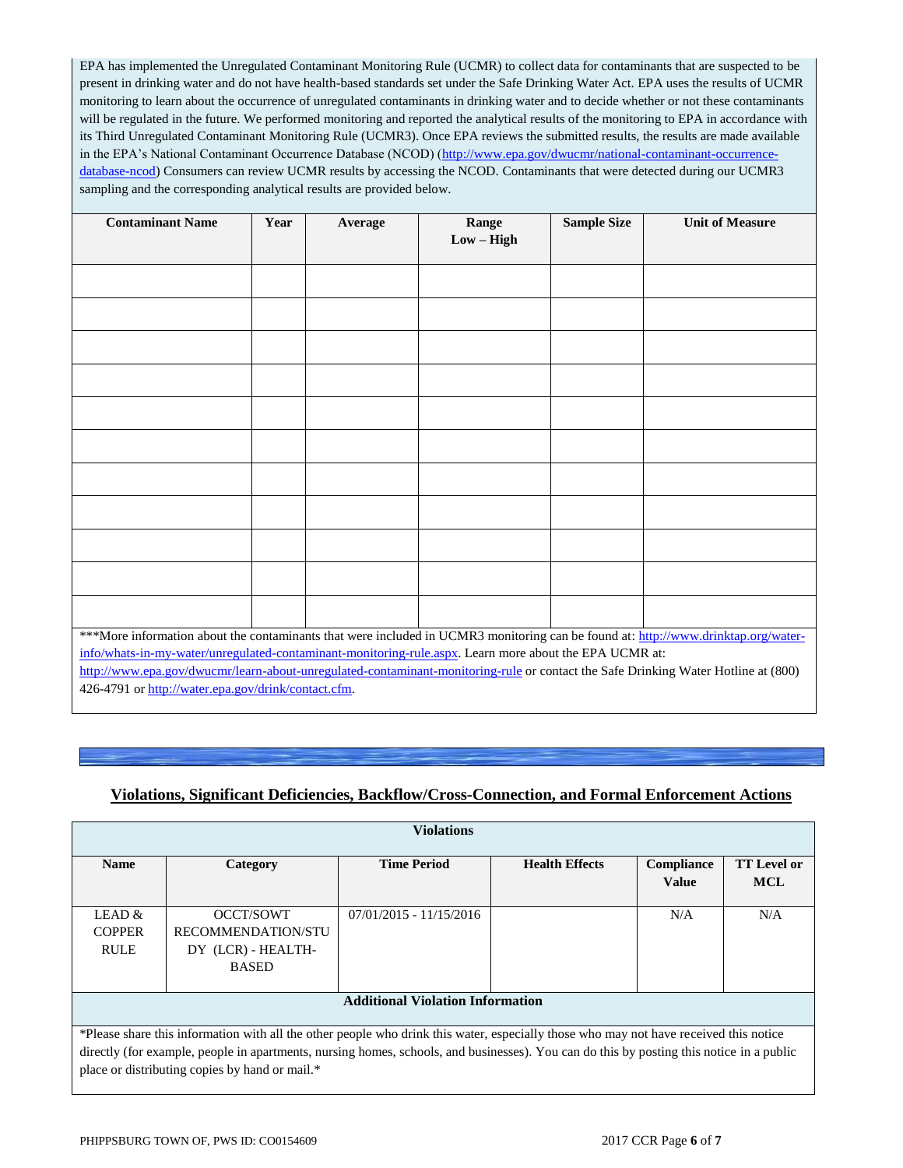EPA has implemented the Unregulated Contaminant Monitoring Rule (UCMR) to collect data for contaminants that are suspected to be present in drinking water and do not have health-based standards set under the Safe Drinking Water Act. EPA uses the results of UCMR monitoring to learn about the occurrence of unregulated contaminants in drinking water and to decide whether or not these contaminants will be regulated in the future. We performed monitoring and reported the analytical results of the monitoring to EPA in accordance with its Third Unregulated Contaminant Monitoring Rule (UCMR3). Once EPA reviews the submitted results, the results are made available in the EPA's National Contaminant Occurrence Database (NCOD) [\(http://www.epa.gov/dwucmr/national-contaminant-occurrence](http://www.epa.gov/dwucmr/national-contaminant-occurrence-database-ncod)[database-ncod\)](http://www.epa.gov/dwucmr/national-contaminant-occurrence-database-ncod) Consumers can review UCMR results by accessing the NCOD. Contaminants that were detected during our UCMR3 sampling and the corresponding analytical results are provided below.

| <b>Contaminant Name</b>                                                                                                                                                                  | Year | Average | Range<br>$Low - High$ | <b>Sample Size</b> | <b>Unit of Measure</b> |  |  |  |
|------------------------------------------------------------------------------------------------------------------------------------------------------------------------------------------|------|---------|-----------------------|--------------------|------------------------|--|--|--|
|                                                                                                                                                                                          |      |         |                       |                    |                        |  |  |  |
|                                                                                                                                                                                          |      |         |                       |                    |                        |  |  |  |
|                                                                                                                                                                                          |      |         |                       |                    |                        |  |  |  |
|                                                                                                                                                                                          |      |         |                       |                    |                        |  |  |  |
|                                                                                                                                                                                          |      |         |                       |                    |                        |  |  |  |
|                                                                                                                                                                                          |      |         |                       |                    |                        |  |  |  |
|                                                                                                                                                                                          |      |         |                       |                    |                        |  |  |  |
|                                                                                                                                                                                          |      |         |                       |                    |                        |  |  |  |
|                                                                                                                                                                                          |      |         |                       |                    |                        |  |  |  |
|                                                                                                                                                                                          |      |         |                       |                    |                        |  |  |  |
|                                                                                                                                                                                          |      |         |                       |                    |                        |  |  |  |
|                                                                                                                                                                                          |      |         |                       |                    |                        |  |  |  |
| ***More information about the contaminants that were included in UCMR3 monitoring can be found at: http://www.drinktap.org/water-                                                        |      |         |                       |                    |                        |  |  |  |
| info/whats-in-my-water/unregulated-contaminant-monitoring-rule.aspx. Learn more about the EPA UCMR at:                                                                                   |      |         |                       |                    |                        |  |  |  |
| http://www.epa.gov/dwucmr/learn-about-unregulated-contaminant-monitoring-rule or contact the Safe Drinking Water Hotline at (800)<br>426-4791 or http://water.epa.gov/drink/contact.cfm. |      |         |                       |                    |                        |  |  |  |

# **Violations, Significant Deficiencies, Backflow/Cross-Connection, and Formal Enforcement Actions**

|                                          | <b>Violations</b>                                                                                                                                                                                                                                                                                                                   |                                         |                       |                     |                                  |  |  |  |  |  |  |
|------------------------------------------|-------------------------------------------------------------------------------------------------------------------------------------------------------------------------------------------------------------------------------------------------------------------------------------------------------------------------------------|-----------------------------------------|-----------------------|---------------------|----------------------------------|--|--|--|--|--|--|
| <b>Name</b>                              | Category                                                                                                                                                                                                                                                                                                                            | <b>Time Period</b>                      | <b>Health Effects</b> | Compliance<br>Value | <b>TT</b> Level or<br><b>MCL</b> |  |  |  |  |  |  |
| LEAD $&$<br><b>COPPER</b><br><b>RULE</b> | OCCT/SOWT<br>RECOMMENDATION/STU<br>DY (LCR) - HEALTH-<br><b>BASED</b>                                                                                                                                                                                                                                                               | $07/01/2015 - 11/15/2016$               |                       | N/A                 | N/A                              |  |  |  |  |  |  |
|                                          |                                                                                                                                                                                                                                                                                                                                     | <b>Additional Violation Information</b> |                       |                     |                                  |  |  |  |  |  |  |
|                                          | *Please share this information with all the other people who drink this water, especially those who may not have received this notice<br>directly (for example, people in apartments, nursing homes, schools, and businesses). You can do this by posting this notice in a public<br>place or distributing copies by hand or mail.* |                                         |                       |                     |                                  |  |  |  |  |  |  |